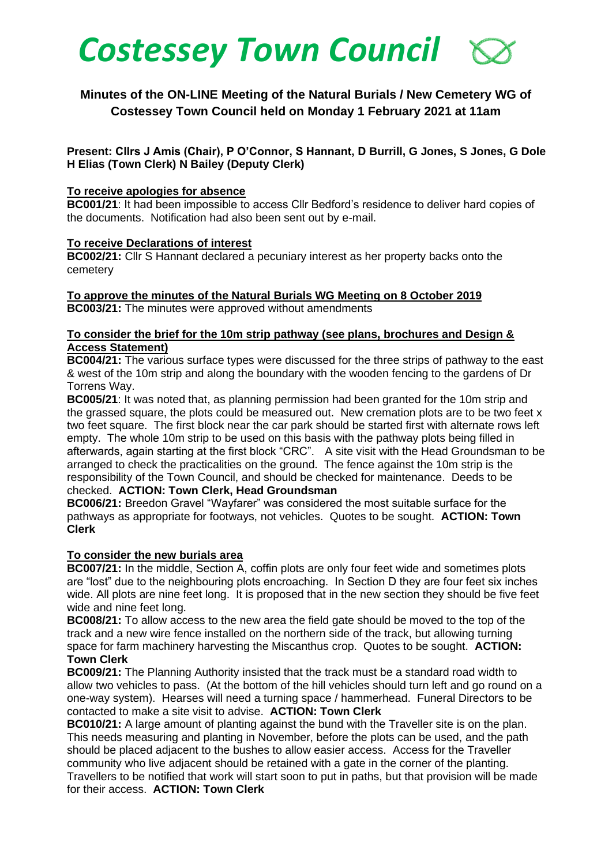

# **Minutes of the ON-LINE Meeting of the Natural Burials / New Cemetery WG of Costessey Town Council held on Monday 1 February 2021 at 11am**

**Present: Cllrs J Amis (Chair), P O'Connor, S Hannant, D Burrill, G Jones, S Jones, G Dole H Elias (Town Clerk) N Bailey (Deputy Clerk)** 

#### **To receive apologies for absence**

**BC001/21**: It had been impossible to access Cllr Bedford's residence to deliver hard copies of the documents. Notification had also been sent out by e-mail.

#### **To receive Declarations of interest**

**BC002/21:** Cllr S Hannant declared a pecuniary interest as her property backs onto the cemetery

# **To approve the minutes of the Natural Burials WG Meeting on 8 October 2019 BC003/21:** The minutes were approved without amendments

#### **To consider the brief for the 10m strip pathway (see plans, brochures and Design & Access Statement)**

**BC004/21:** The various surface types were discussed for the three strips of pathway to the east & west of the 10m strip and along the boundary with the wooden fencing to the gardens of Dr Torrens Way.

**BC005/21**: It was noted that, as planning permission had been granted for the 10m strip and the grassed square, the plots could be measured out. New cremation plots are to be two feet x two feet square. The first block near the car park should be started first with alternate rows left empty. The whole 10m strip to be used on this basis with the pathway plots being filled in afterwards, again starting at the first block "CRC".A site visit with the Head Groundsman to be arranged to check the practicalities on the ground. The fence against the 10m strip is the responsibility of the Town Council, and should be checked for maintenance. Deeds to be checked. **ACTION: Town Clerk, Head Groundsman**

**BC006/21:** Breedon Gravel "Wayfarer" was considered the most suitable surface for the pathways as appropriate for footways, not vehicles. Quotes to be sought. **ACTION: Town Clerk** 

# **To consider the new burials area**

**BC007/21:** In the middle, Section A, coffin plots are only four feet wide and sometimes plots are "lost" due to the neighbouring plots encroaching. In Section D they are four feet six inches wide. All plots are nine feet long. It is proposed that in the new section they should be five feet wide and nine feet long.

**BC008/21:** To allow access to the new area the field gate should be moved to the top of the track and a new wire fence installed on the northern side of the track, but allowing turning space for farm machinery harvesting the Miscanthus crop. Quotes to be sought. **ACTION: Town Clerk** 

**BC009/21:** The Planning Authority insisted that the track must be a standard road width to allow two vehicles to pass. (At the bottom of the hill vehicles should turn left and go round on a one-way system). Hearses will need a turning space / hammerhead. Funeral Directors to be contacted to make a site visit to advise. **ACTION: Town Clerk**

**BC010/21:** A large amount of planting against the bund with the Traveller site is on the plan. This needs measuring and planting in November, before the plots can be used, and the path should be placed adjacent to the bushes to allow easier access. Access for the Traveller community who live adjacent should be retained with a gate in the corner of the planting. Travellers to be notified that work will start soon to put in paths, but that provision will be made for their access. **ACTION: Town Clerk**